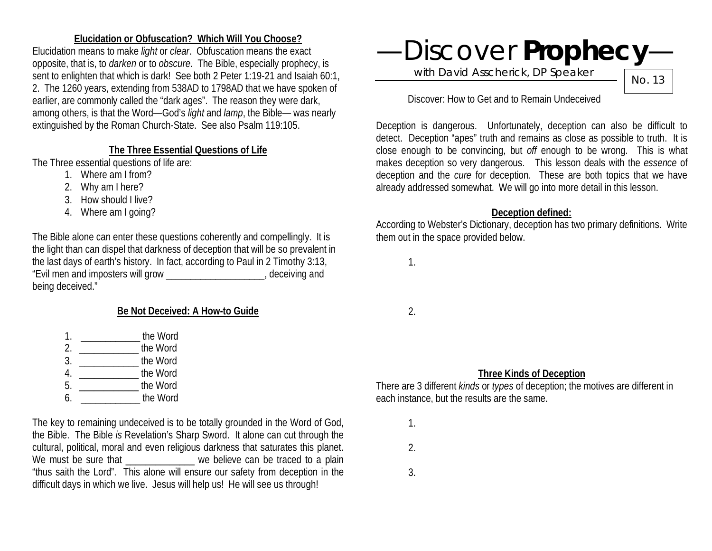### **Elucidation or Obfuscation? Which Will You Choose?**

Elucidation means to make *light* or *clear*. Obfuscation means the exact opposite, that is, to *darken* or to *obscure*. The Bible, especially prophecy, is sent to enlighten that which is dark! See both 2 Peter 1:19-21 and Isaiah 60:1, 2. The 1260 years, extending from 538AD to 1798AD that we have spoken of earlier, are commonly called the "dark ages". The reason they were dark, among others, is that the Word—God's *light* and *lamp*, the Bible— was nearly extinguished by the Roman Church-State. See also Psalm 119:105.

## **The Three Essential Questions of Life**

The Three essential questions of life are:

- 1. Where am I from?
- 2. Why am I here?
- 3. How should I live?
- 4. Where am I going?

The Bible alone can enter these questions coherently and compellingly. It is the light than can dispel that darkness of deception that will be so prevalent in the last days of earth's history. In fact, according to Paul in 2 Timothy 3:13, "Evil men and imposters will grow \_\_\_\_\_\_\_\_\_\_\_\_\_\_\_\_\_\_\_\_, deceiving and being deceived."

# **Be Not Deceived: A How-to Guide**

- 1. **the Word**
- 2. \_\_\_\_\_\_\_\_\_\_\_\_ the Word
- 3. \_\_\_\_\_\_\_\_\_\_\_\_ the Word
- 4. \_\_\_\_\_\_\_\_\_\_\_\_ the Word
- 5. \_\_\_\_\_\_\_\_\_\_\_\_ the Word
- 6. \_\_\_\_\_\_\_\_\_\_\_\_ the Word

The key to remaining undeceived is to be totally grounded in the Word of God, the Bible. The Bible *is* Revelation's Sharp Sword. It alone can cut through the cultural, political, moral and even religious darkness that saturates this planet. We must be sure that we believe can be traced to a plain "thus saith the Lord". This alone will ensure our safety from deception in the difficult days in which we live. Jesus will help us! He will see us through!

# —Discover **Prophecy**—

with David Asscherick, DP Speaker

No. 13

Discover: How to Get and to Remain Undeceived

Deception is dangerous. Unfortunately, deception can also be difficult to detect. Deception "apes" truth and remains as close as possible to truth. It is close enough to be convincing, but *off* enough to be wrong. This is what makes deception so very dangerous. This lesson deals with the *essence* of deception and the *cure* for deception. These are both topics that we have already addressed somewhat. We will go into more detail in this lesson.

#### **Deception defined:**

According to Webster's Dictionary, deception has two primary definitions. Write them out in the space provided below.

1.

2.

## **Three Kinds of Deception**

There are 3 different *kinds* or *types* of deception; the motives are different in each instance, but the results are the same.

1.

2.

3.